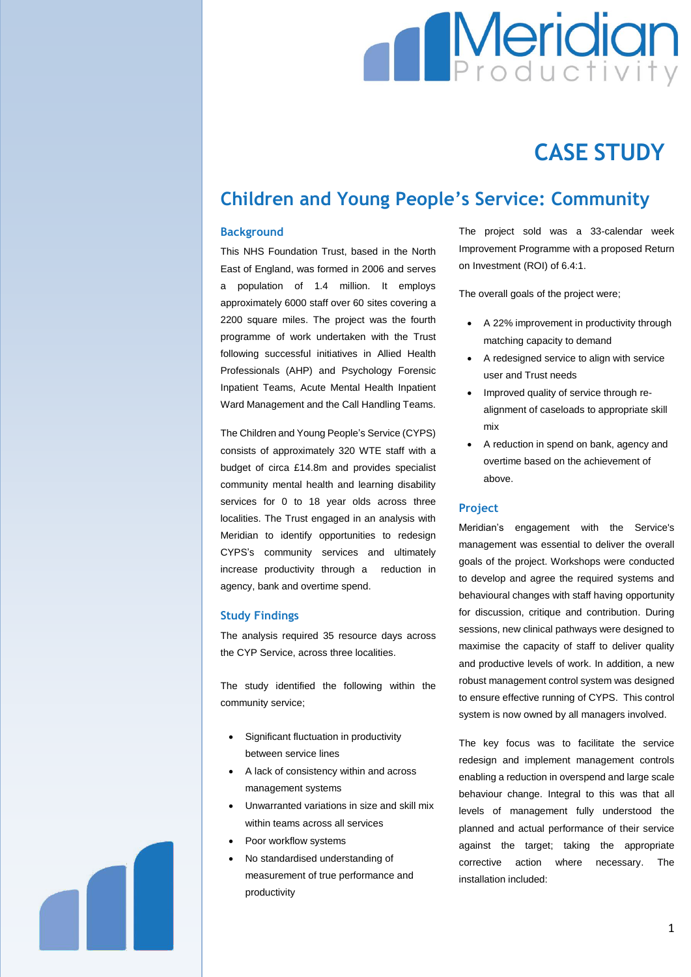# **Meridian**

## **CASE STUDY**

### **Children and Young People's Service: Community**

#### **Background**

This NHS Foundation Trust, based in the North East of England, was formed in 2006 and serves a population of 1.4 million. It employs approximately 6000 staff over 60 sites covering a 2200 square miles. The project was the fourth programme of work undertaken with the Trust following successful initiatives in Allied Health Professionals (AHP) and Psychology Forensic Inpatient Teams, Acute Mental Health Inpatient Ward Management and the Call Handling Teams.

The Children and Young People's Service (CYPS) consists of approximately 320 WTE staff with a budget of circa £14.8m and provides specialist community mental health and learning disability services for 0 to 18 year olds across three localities. The Trust engaged in an analysis with Meridian to identify opportunities to redesign CYPS's community services and ultimately increase productivity through a reduction in agency, bank and overtime spend.

#### **Study Findings**

The analysis required 35 resource days across the CYP Service, across three localities.

The study identified the following within the community service;

- Significant fluctuation in productivity between service lines
- A lack of consistency within and across management systems
- Unwarranted variations in size and skill mix within teams across all services
- Poor workflow systems
- No standardised understanding of measurement of true performance and productivity

The project sold was a 33-calendar week Improvement Programme with a proposed Return on Investment (ROI) of 6.4:1.

The overall goals of the project were;

- A 22% improvement in productivity through matching capacity to demand
- A redesigned service to align with service user and Trust needs
- Improved quality of service through realignment of caseloads to appropriate skill mix
- A reduction in spend on bank, agency and overtime based on the achievement of above.

#### **Project**

Meridian's engagement with the Service's management was essential to deliver the overall goals of the project. Workshops were conducted to develop and agree the required systems and behavioural changes with staff having opportunity for discussion, critique and contribution. During sessions, new clinical pathways were designed to maximise the capacity of staff to deliver quality and productive levels of work. In addition, a new robust management control system was designed to ensure effective running of CYPS. This control system is now owned by all managers involved.

The key focus was to facilitate the service redesign and implement management controls enabling a reduction in overspend and large scale behaviour change. Integral to this was that all levels of management fully understood the planned and actual performance of their service against the target; taking the appropriate corrective action where necessary. The installation included:

1